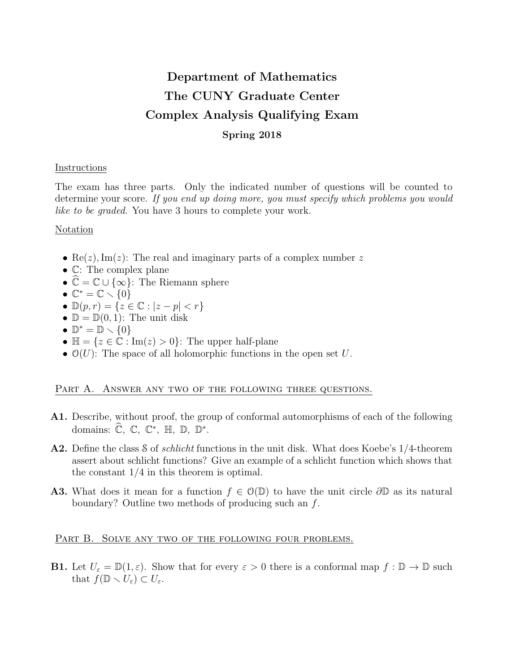# Department of Mathematics The CUNY Graduate Center Complex Analysis Qualifying Exam Spring 2018

# Instructions

The exam has three parts. Only the indicated number of questions will be counted to determine your score. If you end up doing more, you must specify which problems you would like to be graded. You have 3 hours to complete your work.

# Notation

- Re(z), Im(z): The real and imaginary parts of a complex number z
- C: The complex plane
- $\hat{\mathbb{C}} = \mathbb{C} \cup \{\infty\}$ : The Riemann sphere
- $\mathbb{C}^* = \mathbb{C} \setminus \{0\}$
- $\mathbb{D}(p,r) = \{z \in \mathbb{C} : |z p| < r\}$
- $\mathbb{D} = \mathbb{D}(0, 1)$ : The unit disk
- $\mathbb{D}^* = \mathbb{D} \setminus \{0\}$
- $\mathbb{H} = \{z \in \mathbb{C} : \text{Im}(z) > 0\}$ : The upper half-plane
- $\mathcal{O}(U)$ : The space of all holomorphic functions in the open set U.

# PART A. ANSWER ANY TWO OF THE FOLLOWING THREE QUESTIONS.

- A1. Describe, without proof, the group of conformal automorphisms of each of the following domains:  $\widehat{\mathbb{C}}, \ \mathbb{C}, \ \mathbb{C}^*, \ \mathbb{H}, \ \mathbb{D}, \ \mathbb{D}^*.$
- A2. Define the class S of *schlicht* functions in the unit disk. What does Koebe's 1/4-theorem assert about schlicht functions? Give an example of a schlicht function which shows that the constant 1/4 in this theorem is optimal.
- A3. What does it mean for a function  $f \in \mathcal{O}(\mathbb{D})$  to have the unit circle  $\partial \mathbb{D}$  as its natural boundary? Outline two methods of producing such an f.

# PART B. SOLVE ANY TWO OF THE FOLLOWING FOUR PROBLEMS.

**B1.** Let  $U_{\varepsilon} = \mathbb{D}(1, \varepsilon)$ . Show that for every  $\varepsilon > 0$  there is a conformal map  $f : \mathbb{D} \to \mathbb{D}$  such that  $f(\mathbb{D} \setminus U_{\varepsilon}) \subset U_{\varepsilon}$ .